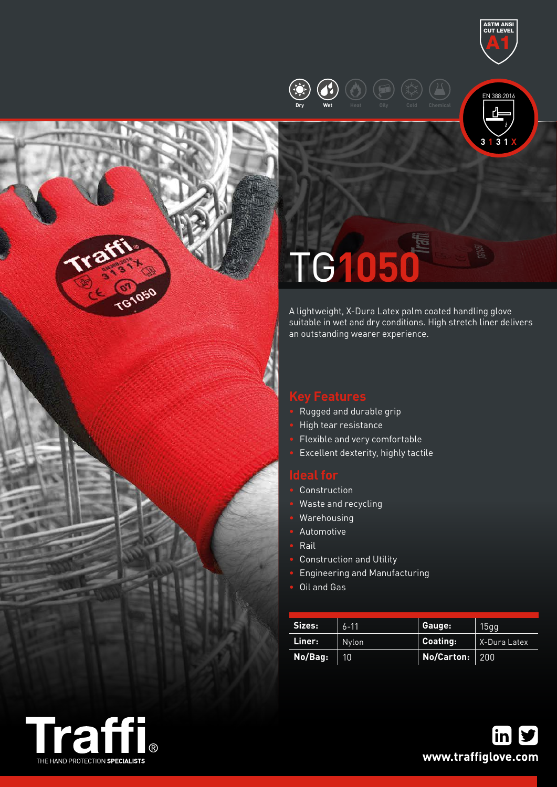





# TG**1050**

A lightweight, X-Dura Latex palm coated handling glove suitable in wet and dry conditions. High stretch liner delivers an outstanding wearer experience.

- Rugged and durable grip
- High tear resistance
- Flexible and very comfortable
- Excellent dexterity, highly tactile

- **Construction**
- Waste and recycling
- Warehousing
- Automotive
- Rail
- Construction and Utility
- Engineering and Manufacturing
- Oil and Gas

| Sizes:  | $6 - 11$ | Gauge:           | 15qq         |  |
|---------|----------|------------------|--------------|--|
| Liner:  | Nylon    | Coating:         | X-Dura Latex |  |
| No/Bag: | 10       | No/Carton:   200 |              |  |